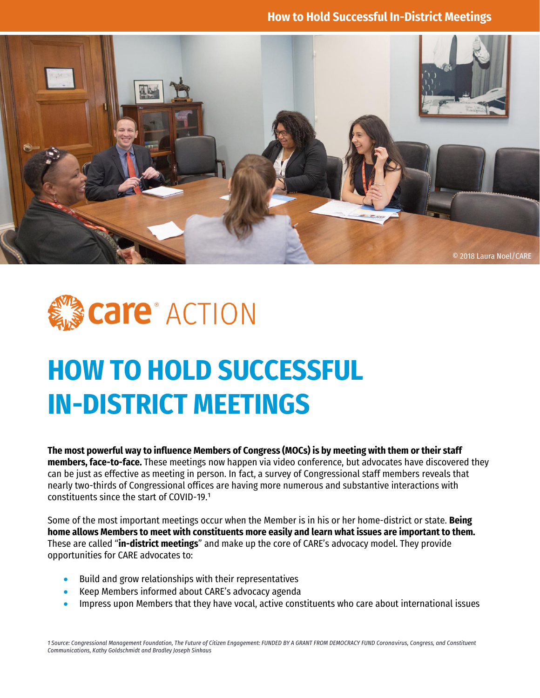



# **HOW TO HOLD SUCCESSFUL IN-DISTRICT MEETINGS**

**The most powerful way to influence Members of Congress (MOCs) is by meeting with them or their staff members, face-to-face.** These meetings now happen via video conference, but advocates have discovered they can be just as effective as meeting in person. In fact, a survey of Congressional staff members reveals that nearly two-thirds of Congressional offices are having more numerous and substantive interactions with constituents since the start of COVID-19.1

Some of the most important meetings occur when the Member is in his or her home-district or state. **Being home allows Members to meet with constituents more easily and learn what issues are important to them.** These are called "**in-district meetings**" and make up the core of CARE's advocacy model. They provide opportunities for CARE advocates to:

- Build and grow relationships with their representatives
- Keep Members informed about CARE's advocacy agenda
- Impress upon Members that they have vocal, active constituents who care about international issues

*1 Source: Congressional Management Foundation, The Future of Citizen Engagement: FUNDED BY A GRANT FROM DEMOCRACY FUND Coronavirus, Congress, and Constituent Communications, Kathy Goldschmidt and Bradley Joseph Sinkaus*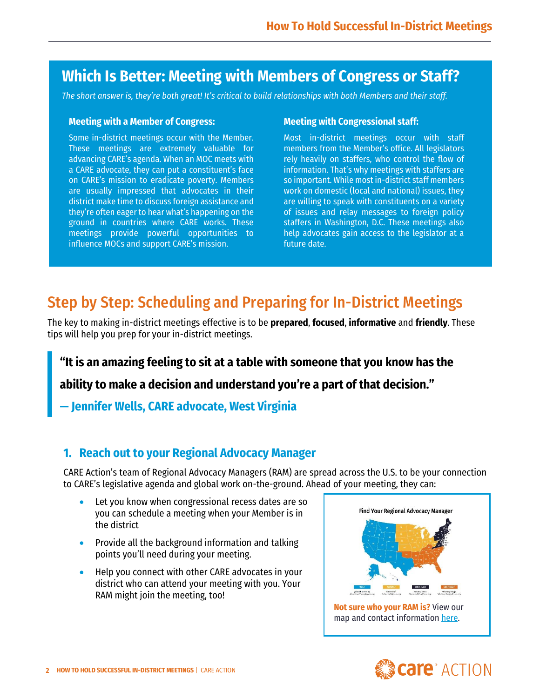# **Which Is Better: Meeting with Members of Congress or Staff?**

*The short answer is, they're both great! It's critical to build relationships with both Members and their staff.*

#### **Meeting with a Member of Congress:**

Some in-district meetings occur with the Member. These meetings are extremely valuable for advancing CARE's agenda. When an MOC meets with a CARE advocate, they can put a constituent's face on CARE's mission to eradicate poverty. Members are usually impressed that advocates in their district make time to discuss foreign assistance and they're often eager to hear what's happening on the ground in countries where CARE works. These meetings provide powerful opportunities to influence MOCs and support CARE's mission.

#### **Meeting with Congressional staff:**

Most in-district meetings occur with staff members from the Member's office. All legislators rely heavily on staffers, who control the flow of information. That's why meetings with staffers are so important. While most in-district staff members work on domestic (local and national) issues, they are willing to speak with constituents on a variety of issues and relay messages to foreign policy staffers in Washington, D.C. These meetings also help advocates gain access to the legislator at a future date.

# Step by Step: Scheduling and Preparing for In-District Meetings

The key to making in-district meetings effective is to be **prepared**, **focused**, **informative** and **friendly**. These tips will help you prep for your in-district meetings.

#### **"It is an amazing feeling to sit at a table with someone that you know has the**

**ability to make a decision and understand you're a part of that decision."**

**— Jennifer Wells, CARE advocate, West Virginia**

#### **1. Reach out to your Regional Advocacy Manager**

CARE Action's team of Regional Advocacy Managers (RAM) are spread across the U.S. to be your connection to CARE's legislative agenda and global work on-the-ground. Ahead of your meeting, they can:

- Let you know when congressional recess dates are so you can schedule a meeting when your Member is in the district
- Provide all the background information and talking points you'll need during your meeting.
- Help you connect with other CARE advocates in your district who can attend your meeting with you. Your RAM might join the meeting, too!



are<sup>®</sup> ACTION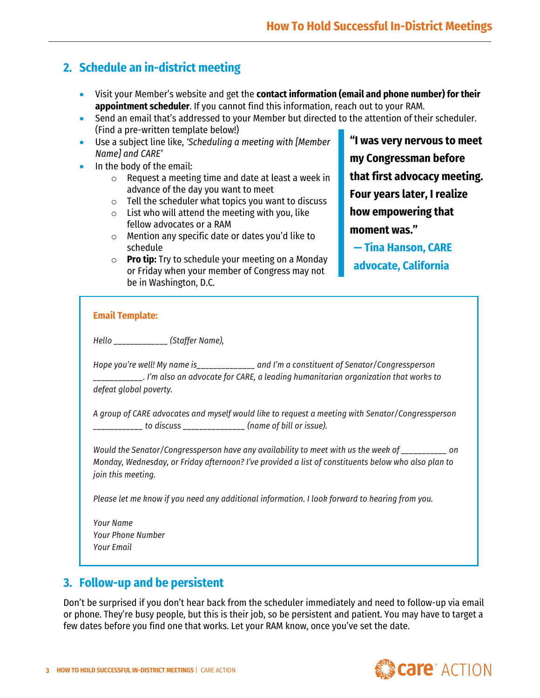# **2. Schedule an in-district meeting**

- Visit your Member's website and get the **contact information (email and phone number) for their appointment scheduler**. If you cannot find this information, reach out to your RAM.
- Send an email that's addressed to your Member but directed to the attention of their scheduler. (Find a pre-written template below!)
- Use a subject line like, *'Scheduling a meeting with [Member Name] and CARE'*
- In the body of the email:
	- o Request a meeting time and date at least a week in advance of the day you want to meet
	- $\circ$  Tell the scheduler what topics you want to discuss
	- $\circ$  List who will attend the meeting with you, like fellow advocates or a RAM
	- o Mention any specific date or dates you'd like to schedule
	- o **Pro tip:** Try to schedule your meeting on a Monday or Friday when your member of Congress may not be in Washington, D.C.

**"I was very nervous to meet my Congressman before that first advocacy meeting. Four years later, I realize how empowering that moment was."** 

**— Tina Hanson, CARE advocate, California**

#### **Email Template:**

*Hello \_\_\_\_\_\_\_\_\_\_\_\_\_ (Staffer Name),*

*Hope you're well! My name is\_\_\_\_\_\_\_\_\_\_\_\_\_\_ and I'm a constituent of Senator/Congressperson \_\_\_\_\_\_\_\_\_\_\_\_. I'm also an advocate for CARE, a leading humanitarian organization that works to defeat global poverty.* 

*A group of CARE advocates and myself would like to request a meeting with Senator/Congressperson \_\_\_\_\_\_\_\_\_\_\_\_ to discuss \_\_\_\_\_\_\_\_\_\_\_\_\_\_\_ (name of bill or issue).*

*Would the Senator/Congressperson have any availability to meet with us the week of \_\_\_\_\_\_\_\_\_\_\_ on Monday, Wednesday, or Friday afternoon? I've provided a list of constituents below who also plan to join this meeting.*

*Please let me know if you need any additional information. I look forward to hearing from you.*

*Your Name Your Phone Number Your Email*

## **3. Follow-up and be persistent**

Don't be surprised if you don't hear back from the scheduler immediately and need to follow-up via email or phone. They're busy people, but this is their job, so be persistent and patient. You may have to target a few dates before you find one that works. Let your RAM know, once you've set the date.

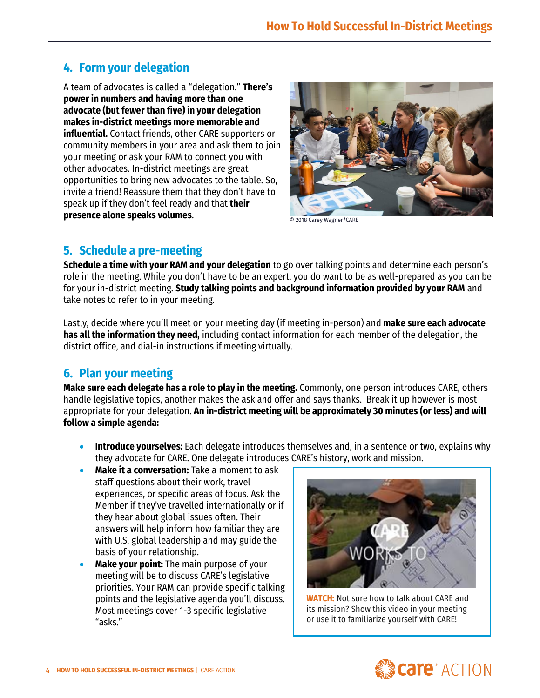## **4. Form your delegation**

A team of advocates is called a "delegation." **There's power in numbers and having more than one advocate (but fewer than five) in your delegation makes in-district meetings more memorable and influential.** Contact friends, other CARE supporters or community members in your area and ask them to join your meeting or ask your RAM to connect you with other advocates. In-district meetings are great opportunities to bring new advocates to the table. So, invite a friend! Reassure them that they don't have to speak up if they don't feel ready and that **their presence alone speaks volumes**.



© 2018 Carey Wagner/CARE

#### **5. Schedule a pre-meeting**

**Schedule a time with your RAM and your delegation** to go over talking points and determine each person's role in the meeting. While you don't have to be an expert, you do want to be as well-prepared as you can be for your in-district meeting. **Study talking points and background information provided by your RAM** and take notes to refer to in your meeting.

Lastly, decide where you'll meet on your meeting day (if meeting in-person) and **make sure each advocate has all the information they need,** including contact information for each member of the delegation, the district office, and dial-in instructions if meeting virtually.

#### **6. Plan your meeting**

**Make sure each delegate has a role to play in the meeting.** Commonly, one person introduces CARE, others handle legislative topics, another makes the ask and offer and says thanks. Break it up however is most appropriate for your delegation. **An in-district meeting will be approximately 30 minutes (or less) and will follow a simple agenda:**

- **Introduce yourselves:** Each delegate introduces themselves and, in a sentence or two, explains why they advocate for CARE. One delegate introduces CARE's history, work and mission.
- **Make it a conversation:** Take a moment to ask staff questions about their work, travel experiences, or specific areas of focus. Ask the Member if they've travelled internationally or if they hear about global issues often. Their answers will help inform how familiar they are with U.S. global leadership and may guide the basis of your relationship.
- **Make your point:** The main purpose of your meeting will be to discuss CARE's legislative priorities. Your RAM can provide specific talking points and the legislative agenda you'll discuss. Most meetings cover 1-3 specific legislative "asks."



**[WATCH:](https://www.facebook.com/30139072158/videos/854563548622902)** Not sure how to talk about CARE and its mission? Show this video in your meeting or use it to familiarize yourself with CARE!

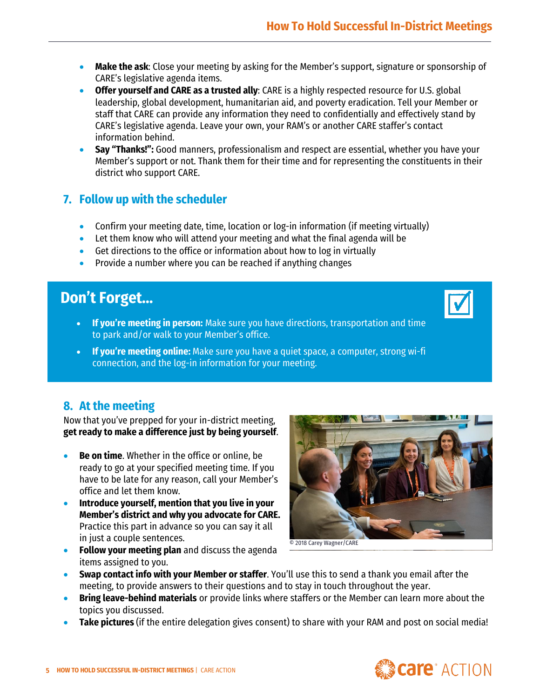- **Make the ask**: Close your meeting by asking for the Member's support, signature or sponsorship of CARE's legislative agenda items.
- **Offer yourself and CARE as a trusted ally**: CARE is a highly respected resource for U.S. global leadership, global development, humanitarian aid, and poverty eradication. Tell your Member or staff that CARE can provide any information they need to confidentially and effectively stand by CARE's legislative agenda. Leave your own, your RAM's or another CARE staffer's contact information behind.
- **Say "Thanks!":** Good manners, professionalism and respect are essential, whether you have your Member's support or not. Thank them for their time and for representing the constituents in their district who support CARE.

### **7. Follow up with the scheduler**

- Confirm your meeting date, time, location or log-in information (if meeting virtually)
- Let them know who will attend your meeting and what the final agenda will be
- Get directions to the office or information about how to log in virtually
- Provide a number where you can be reached if anything changes

# **Don't Forget…**

- **If you're meeting in person:** Make sure you have directions, transportation and time to park and/or walk to your Member's office.
- **If you're meeting online:** Make sure you have a quiet space, a computer, strong wi-fi connection, and the log-in information for your meeting.

## **8. At the meeting**

•

Now that you've prepped for your in-district meeting, **get ready to make a difference just by being yourself**.

- **Be on time**. Whether in the office or online, be ready to go at your specified meeting time. If you have to be late for any reason, call your Member's office and let them know.
- **Introduce yourself, mention that you live in your Member's district and why you advocate for CARE.** Practice this part in advance so you can say it all in just a couple sentences.
- **Follow your meeting plan** and discuss the agenda items assigned to you.



© 2018 Carey Wagner/CARE

- **Swap contact info with your Member or staffer**. You'll use this to send a thank you email after the meeting, to provide answers to their questions and to stay in touch throughout the year.
- **Bring leave-behind materials** or provide links where staffers or the Member can learn more about the topics you discussed.
- **Take pictures** (if the entire delegation gives consent) to share with your RAM and post on social media!